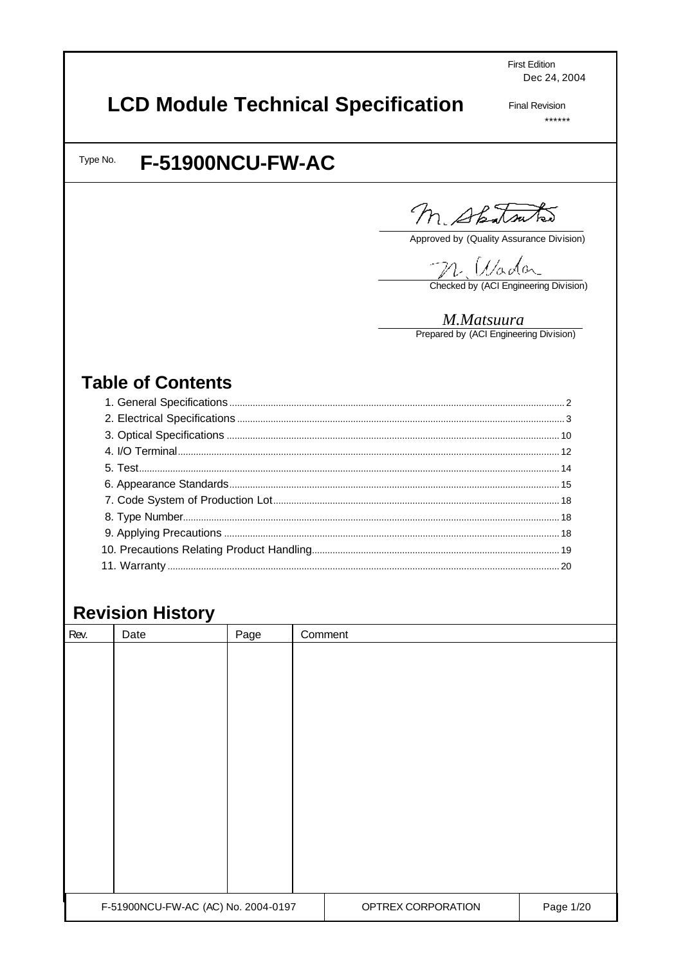**First Edition** Dec 24, 2004

# **LCD Module Technical Specification**

**Final Revision**  $******$ 

Type No.

# **F-51900NCU-FW-AC**

M. Spatsutas

Approved by (Quality Assurance Division)

MARAGAL<br>Checked by (ACI Engineering Division)

M.Matsuura<br>Prepared by (ACI Engineering Division)

# **Table of Contents**

# **Revision History**

| Rev. | Date                                | Page | Comment |                    |           |
|------|-------------------------------------|------|---------|--------------------|-----------|
|      |                                     |      |         |                    |           |
|      |                                     |      |         |                    |           |
|      |                                     |      |         |                    |           |
|      |                                     |      |         |                    |           |
|      |                                     |      |         |                    |           |
|      |                                     |      |         |                    |           |
|      |                                     |      |         |                    |           |
|      |                                     |      |         |                    |           |
|      |                                     |      |         |                    |           |
|      |                                     |      |         |                    |           |
|      |                                     |      |         |                    |           |
|      |                                     |      |         |                    |           |
|      |                                     |      |         |                    |           |
|      | F-51900NCU-FW-AC (AC) No. 2004-0197 |      |         | OPTREX CORPORATION | Page 1/20 |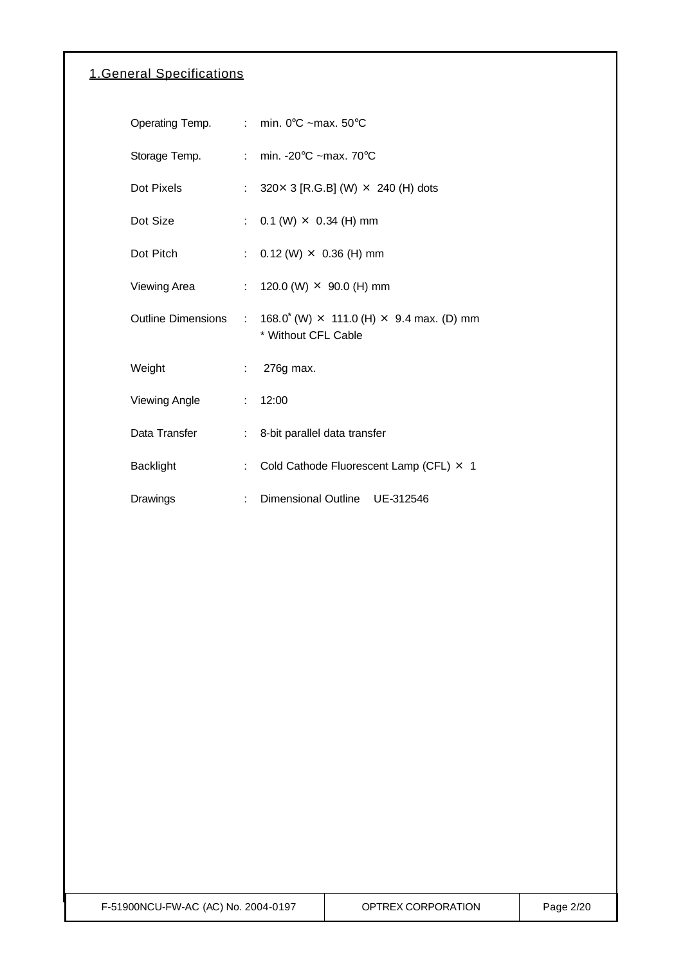### 1.General Specifications

|                  |    | Operating Temp. : min. 0°C ~max. 50°C                                                              |
|------------------|----|----------------------------------------------------------------------------------------------------|
| Storage Temp.    |    | : min. -20 $\degree$ C ~max. 70 $\degree$ C                                                        |
| Dot Pixels       |    | : $320 \times 3$ [R.G.B] (W) $\times$ 240 (H) dots                                                 |
| Dot Size         |    | : $0.1$ (W) $\times$ 0.34 (H) mm                                                                   |
| Dot Pitch        |    | : $0.12$ (W) $\times$ 0.36 (H) mm                                                                  |
| Viewing Area     |    | : 120.0 (W) $\times$ 90.0 (H) mm                                                                   |
|                  |    | Outline Dimensions : $168.0^*(W) \times 111.0$ (H) $\times$ 9.4 max. (D) mm<br>* Without CFL Cable |
| Weight           |    | $: 276g$ max.                                                                                      |
| Viewing Angle    |    | : 12:00                                                                                            |
| Data Transfer    |    | : 8-bit parallel data transfer                                                                     |
| <b>Backlight</b> | t. | Cold Cathode Fluorescent Lamp (CFL) × 1                                                            |
| Drawings         | t. | <b>Dimensional Outline</b><br>UE-312546                                                            |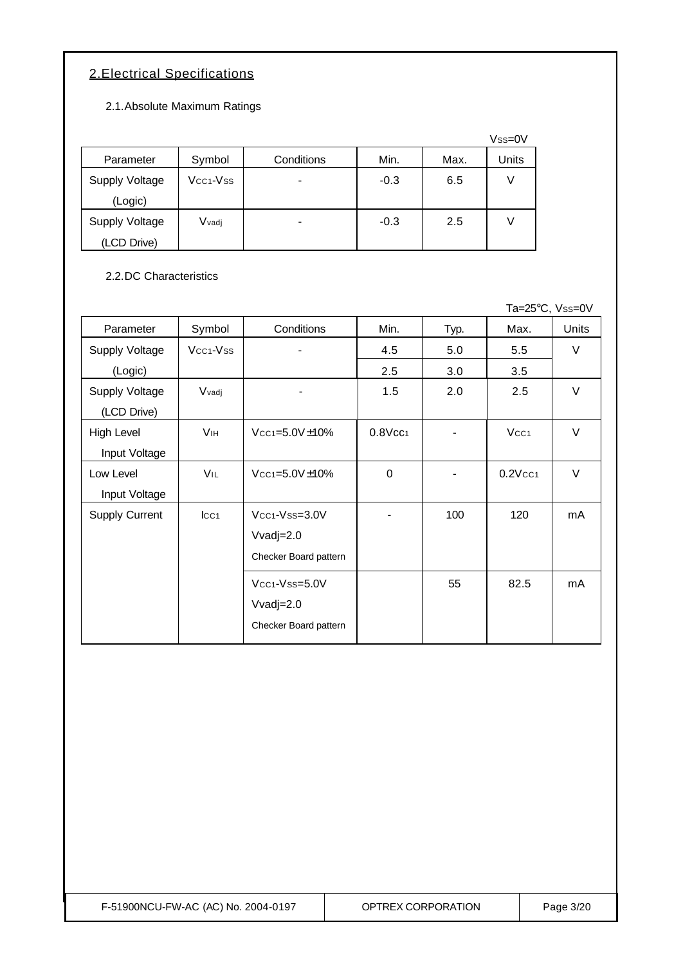### 2.Electrical Specifications

2.1.Absolute Maximum Ratings

|                |                                   |            |        |      | $Vss=0V$ |
|----------------|-----------------------------------|------------|--------|------|----------|
| Parameter      | Symbol                            | Conditions | Min.   | Max. | Units    |
| Supply Voltage | Vcc <sub>1</sub> -V <sub>ss</sub> |            | $-0.3$ | 6.5  | V        |
| (Logic)        |                                   |            |        |      |          |
| Supply Voltage | Vvadj                             |            | $-0.3$ | 2.5  | V        |
| (LCD Drive)    |                                   |            |        |      |          |

### 2.2.DC Characteristics

|                       |                       |                                |                        |      | Ta=25°C, Vss=0V        |              |
|-----------------------|-----------------------|--------------------------------|------------------------|------|------------------------|--------------|
| Parameter             | Symbol                | Conditions                     | Min.                   | Typ. | Max.                   | <b>Units</b> |
| <b>Supply Voltage</b> | Vcc <sub>1</sub> -Vss |                                | 4.5                    | 5.0  | 5.5                    | $\vee$       |
| (Logic)               |                       |                                | 2.5                    | 3.0  | 3.5                    |              |
| <b>Supply Voltage</b> | Vvadj                 |                                | 1.5                    | 2.0  | 2.5                    | $\vee$       |
| (LCD Drive)           |                       |                                |                        |      |                        |              |
| High Level            | <b>V<sub>IH</sub></b> | Vcc <sub>1</sub> =5.0V±10%     | $0.8$ Vcc <sub>1</sub> |      | Vcc <sub>1</sub>       | $\vee$       |
| Input Voltage         |                       |                                |                        |      |                        |              |
| Low Level             | VIL                   | $Vcc$ <sub>1=5.0</sub> $V±10%$ | $\mathbf 0$            |      | $0.2$ Vcc <sub>1</sub> | $\vee$       |
| Input Voltage         |                       |                                |                        |      |                        |              |
| <b>Supply Current</b> | $ _{CC1}$             | Vcc <sub>1</sub> -Vss=3.0V     |                        | 100  | 120                    | mA           |
|                       |                       | $V\text{vadj}=2.0$             |                        |      |                        |              |
|                       |                       | Checker Board pattern          |                        |      |                        |              |
|                       |                       | Vcc <sub>1</sub> -Vss=5.0V     |                        | 55   | 82.5                   | mA           |
|                       |                       | Vvadj= $2.0$                   |                        |      |                        |              |
|                       |                       | Checker Board pattern          |                        |      |                        |              |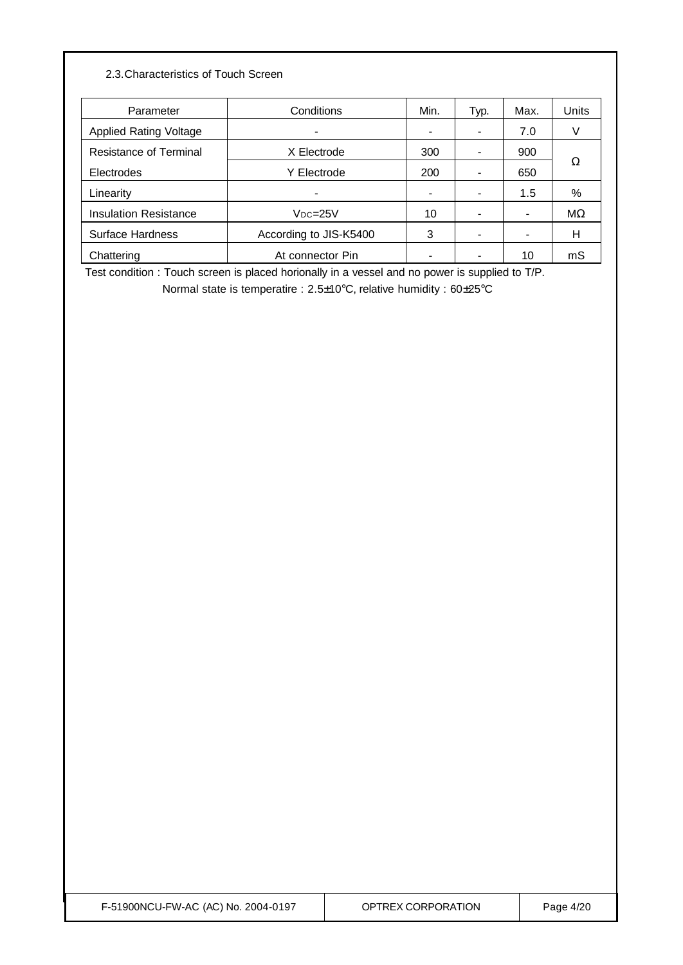### 2.3.Characteristics of Touch Screen

| Parameter                     | Conditions               | Min. | Typ. | Max. | Units     |
|-------------------------------|--------------------------|------|------|------|-----------|
| <b>Applied Rating Voltage</b> | $\overline{\phantom{a}}$ |      | -    | 7.0  |           |
| <b>Resistance of Terminal</b> | X Electrode              | 300  |      | 900  |           |
| <b>Electrodes</b>             | Y Electrode              | 200  |      | 650  | Ω         |
| Linearity                     | $\blacksquare$           |      |      | 1.5  | %         |
| <b>Insulation Resistance</b>  | $Vpc = 25V$              | 10   |      |      | $M\Omega$ |
| Surface Hardness              | According to JIS-K5400   | 3    |      |      | н         |
| Chattering                    | At connector Pin         |      |      | 10   | mS        |

Test condition : Touch screen is placed horionally in a vessel and no power is supplied to T/P.

Normal state is temperatire : 2.5±10°C, relative humidity : 60±25°C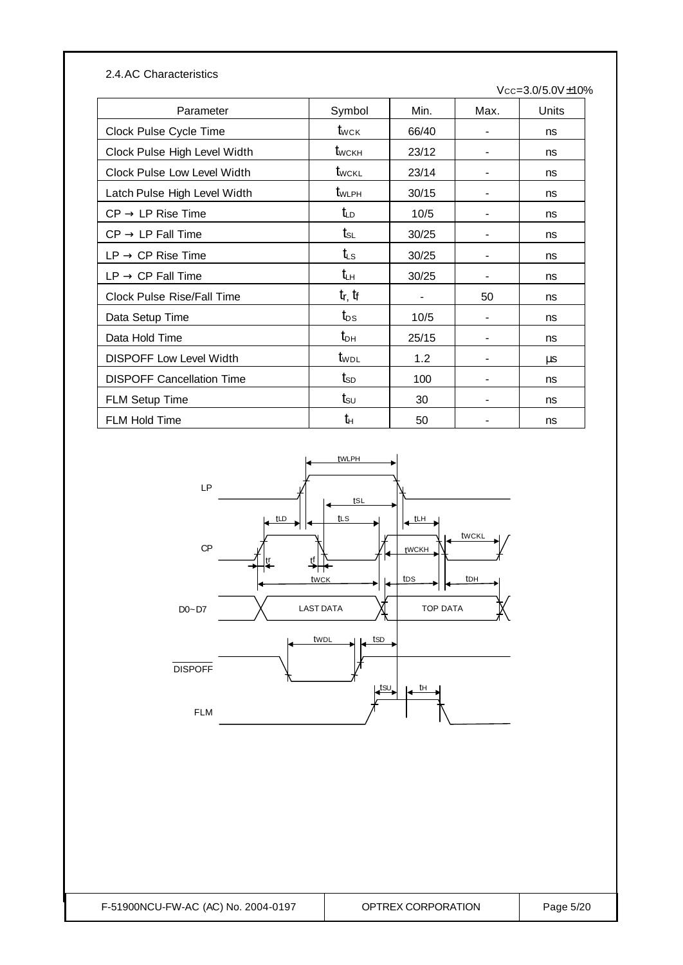| 2.4.AC Characteristics            |                                  |       |                | $Vcc = 3.0/5.0V \pm 10%$ |
|-----------------------------------|----------------------------------|-------|----------------|--------------------------|
| Parameter                         | Symbol                           | Min.  | Max.           | Units                    |
| Clock Pulse Cycle Time            | $t_{\scriptscriptstyle\rm WCK}$  | 66/40 |                | ns                       |
| Clock Pulse High Level Width      | $t_{\scriptscriptstyle\rm WCKH}$ | 23/12 |                | ns                       |
| Clock Pulse Low Level Width       | twckl                            | 23/14 |                | ns                       |
| Latch Pulse High Level Width      | $t_{WLPH}$                       | 30/15 | $\blacksquare$ | ns                       |
| $CP \rightarrow LP$ Rise Time     | t <sub>LD</sub>                  | 10/5  |                | ns                       |
| $CP \rightarrow LP$ Fall Time     | $t_{\scriptscriptstyle\rm SL}$   | 30/25 |                | ns                       |
| $LP \rightarrow CP$ Rise Time     | t⊾s                              | 30/25 |                | ns                       |
| $LP \rightarrow CP$ Fall Time     | tъ                               | 30/25 |                | ns                       |
| <b>Clock Pulse Rise/Fall Time</b> | $t_r$ , $t_f$                    |       | 50             | ns                       |
| Data Setup Time                   | $t_{DS}$                         | 10/5  |                | ns                       |
| Data Hold Time                    | $t_{\text{DH}}$                  | 25/15 |                | ns                       |
| <b>DISPOFF Low Level Width</b>    | t <sub>wpl</sub>                 | 1.2   |                | μs                       |
| <b>DISPOFF Cancellation Time</b>  | $t_{SD}$                         | 100   |                | ns                       |
| <b>FLM Setup Time</b>             | $\mathsf{t}_{\mathsf{SU}}$       | 30    |                | ns                       |
| FLM Hold Time                     | tн                               | 50    |                | ns                       |

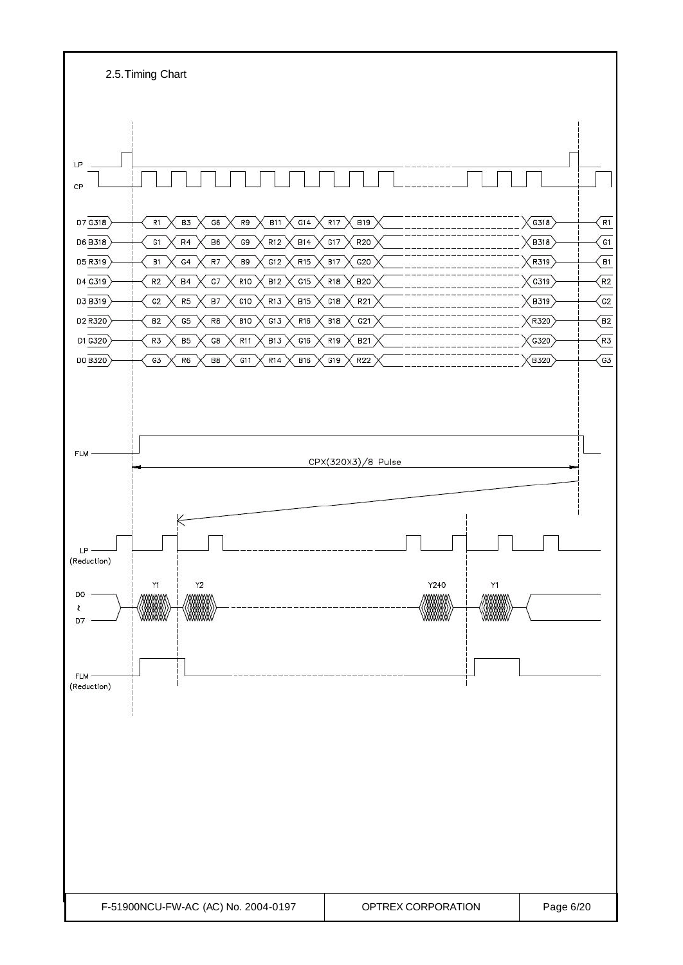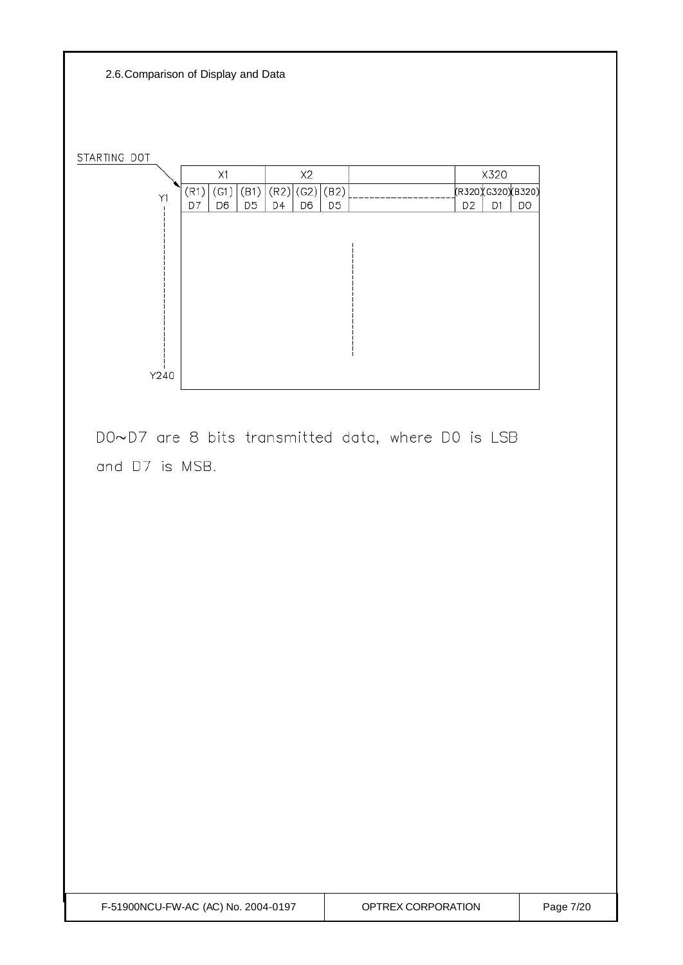2.6.Comparison of Display and Data

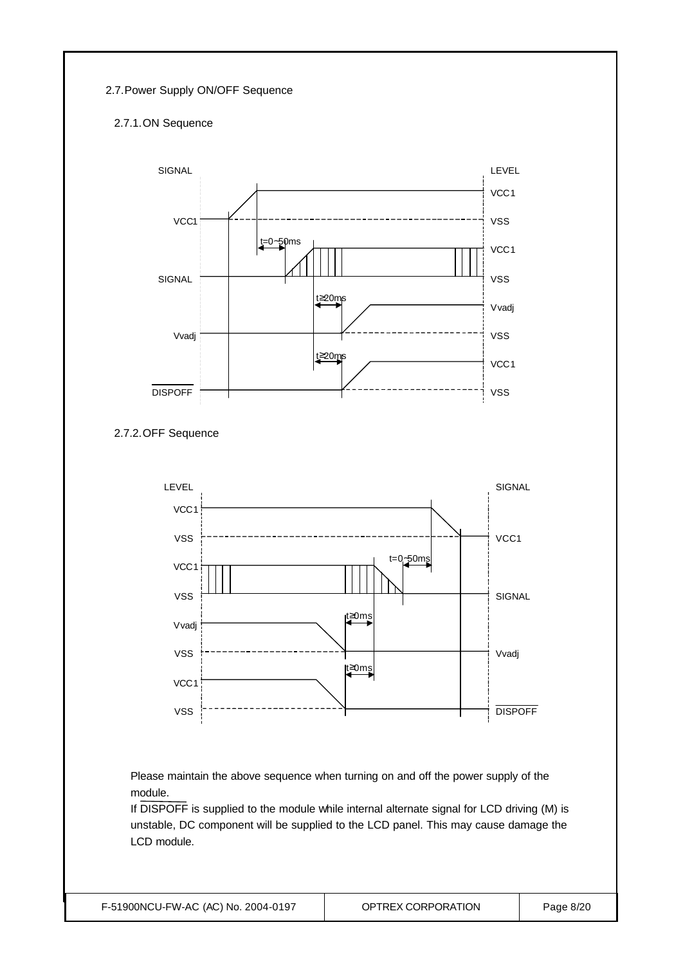#### 2.7.Power Supply ON/OFF Sequence

### 2.7.1.ON Sequence







Please maintain the above sequence when turning on and off the power supply of the module.

If DISPOFF is supplied to the module while internal alternate signal for LCD driving (M) is unstable, DC component will be supplied to the LCD panel. This may cause damage the LCD module.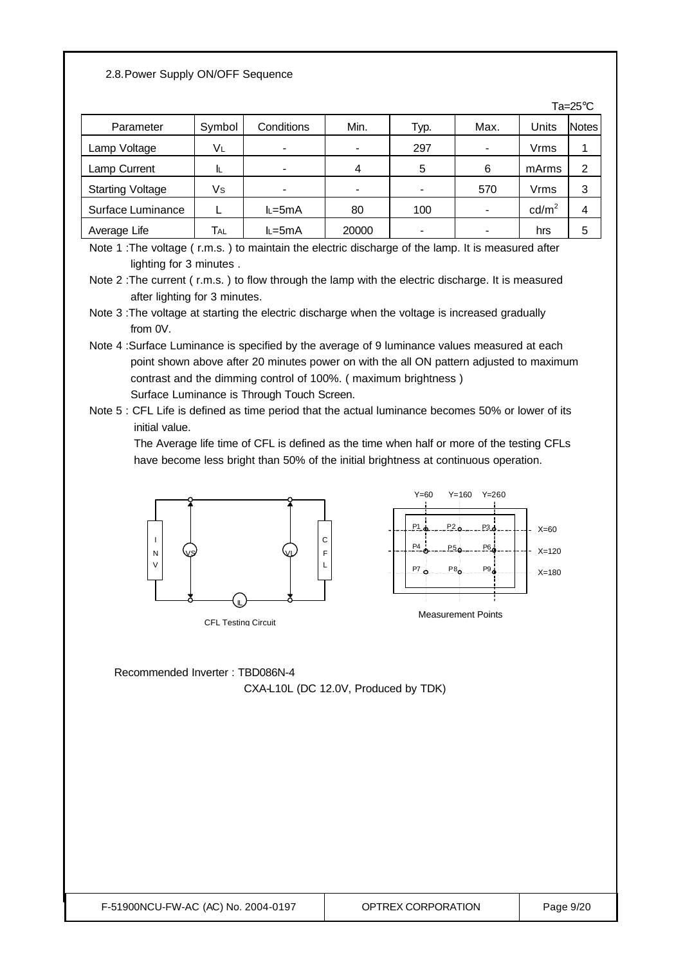#### 2.8.Power Supply ON/OFF Sequence

|                         |        |                          |       |      |      |                   | Ta= $25^{\circ}$ C |
|-------------------------|--------|--------------------------|-------|------|------|-------------------|--------------------|
| Parameter               | Symbol | Conditions               | Min.  | Typ. | Max. | Units             | <b>Notes</b>       |
| Lamp Voltage            | VL     | $\overline{\phantom{a}}$ | ۰     | 297  |      | Vrms              |                    |
| Lamp Current            | IL     | -                        | 4     | 5    | 6    | mArms             | 2                  |
| <b>Starting Voltage</b> | Vs     |                          | ۰     |      | 570  | Vrms              | 3                  |
| Surface Luminance       |        | $L = 5mA$                | 80    | 100  |      | cd/m <sup>2</sup> | 4                  |
| Average Life            | TAL    | $L = 5mA$                | 20000 |      |      | hrs               | 5                  |

Note 1 : The voltage (r.m.s.) to maintain the electric discharge of the lamp. It is measured after lighting for 3 minutes .

Note 2 :The current ( r.m.s. ) to flow through the lamp with the electric discharge. It is measured after lighting for 3 minutes.

- Note 3 :The voltage at starting the electric discharge when the voltage is increased gradually from 0V.
- Note 4 :Surface Luminance is specified by the average of 9 luminance values measured at each point shown above after 20 minutes power on with the all ON pattern adjusted to maximum contrast and the dimming control of 100%. ( maximum brightness ) Surface Luminance is Through Touch Screen.
- Note 5 : CFL Life is defined as time period that the actual luminance becomes 50% or lower of its initial value.

 The Average life time of CFL is defined as the time when half or more of the testing CFLs have become less bright than 50% of the initial brightness at continuous operation.



Recommended Inverter : TBD086N-4 CXA-L10L (DC 12.0V, Produced by TDK)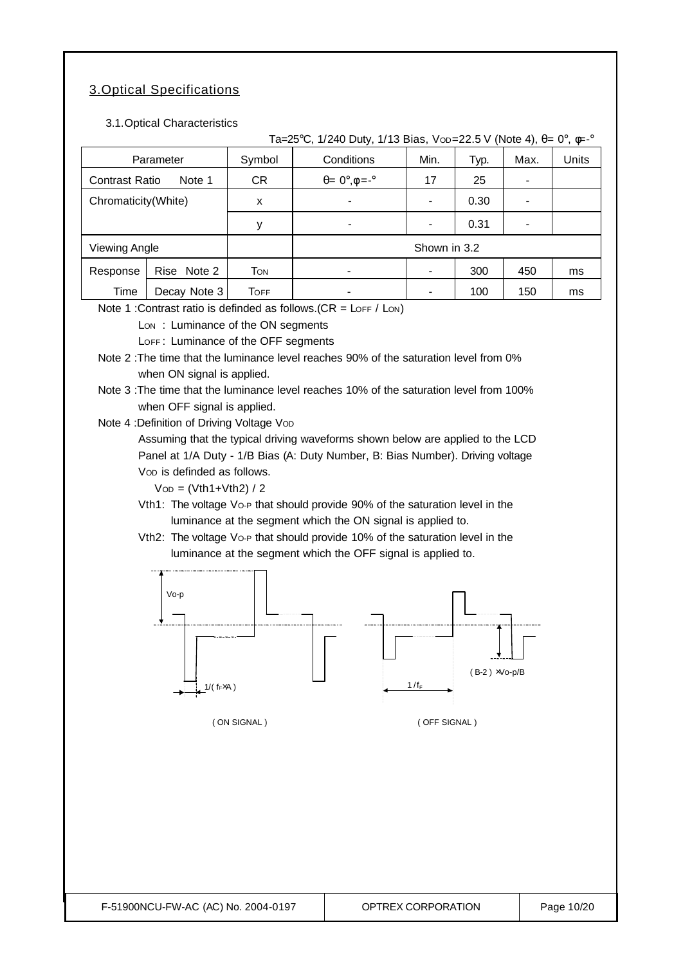## 3.Optical Specifications

3.1.Optical Characteristics

| Conditions<br>Parameter<br>Symbol<br>Min.<br>Max.<br>Typ.<br>$\theta = 0^\circ, \phi = -\circ$<br><b>Contrast Ratio</b><br>Note 1<br><b>CR</b><br>17<br>25<br>Chromaticity(White)<br>0.30<br>x<br>$\overline{\phantom{a}}$<br>$\blacksquare$<br>0.31<br>у<br>$\blacksquare$<br>Shown in 3.2<br><b>Viewing Angle</b><br>Response<br>Rise Note 2<br>TON<br>300<br>450<br>$\overline{\phantom{0}}$<br>ms<br>Time<br>Decay Note 3<br>100<br>150<br><b>TOFF</b><br>ms<br>Note 1 : Contrast ratio is definded as follows. $(CR = L$ OFF / LON)<br>Lon: Luminance of the ON segments<br>LOFF: Luminance of the OFF segments<br>Note 2 : The time that the luminance level reaches 90% of the saturation level from 0%<br>when ON signal is applied.<br>Note 3: The time that the luminance level reaches 10% of the saturation level from 100%<br>when OFF signal is applied.<br>Note 4 : Definition of Driving Voltage Vop<br>Assuming that the typical driving waveforms shown below are applied to the LCD<br>Panel at 1/A Duty - 1/B Bias (A: Duty Number, B: Bias Number). Driving voltage<br>Vop is definded as follows.<br>$Vop = (Vth1+Vth2) / 2$<br>Vth1: The voltage Vo-P that should provide 90% of the saturation level in the<br>luminance at the segment which the ON signal is applied to.<br>Vth2: The voltage Vo-P that should provide 10% of the saturation level in the<br>luminance at the segment which the OFF signal is applied to.<br>Vo-p |  | Ta=25°C, 1/240 Duty, 1/13 Bias, Vop=22.5 V (Note 4), $\theta = 0^{\circ}$ , $\phi = -\circ$ |  |       |
|-------------------------------------------------------------------------------------------------------------------------------------------------------------------------------------------------------------------------------------------------------------------------------------------------------------------------------------------------------------------------------------------------------------------------------------------------------------------------------------------------------------------------------------------------------------------------------------------------------------------------------------------------------------------------------------------------------------------------------------------------------------------------------------------------------------------------------------------------------------------------------------------------------------------------------------------------------------------------------------------------------------------------------------------------------------------------------------------------------------------------------------------------------------------------------------------------------------------------------------------------------------------------------------------------------------------------------------------------------------------------------------------------------------------------------------------------------------|--|---------------------------------------------------------------------------------------------|--|-------|
|                                                                                                                                                                                                                                                                                                                                                                                                                                                                                                                                                                                                                                                                                                                                                                                                                                                                                                                                                                                                                                                                                                                                                                                                                                                                                                                                                                                                                                                             |  |                                                                                             |  | Units |
|                                                                                                                                                                                                                                                                                                                                                                                                                                                                                                                                                                                                                                                                                                                                                                                                                                                                                                                                                                                                                                                                                                                                                                                                                                                                                                                                                                                                                                                             |  |                                                                                             |  |       |
|                                                                                                                                                                                                                                                                                                                                                                                                                                                                                                                                                                                                                                                                                                                                                                                                                                                                                                                                                                                                                                                                                                                                                                                                                                                                                                                                                                                                                                                             |  |                                                                                             |  |       |
|                                                                                                                                                                                                                                                                                                                                                                                                                                                                                                                                                                                                                                                                                                                                                                                                                                                                                                                                                                                                                                                                                                                                                                                                                                                                                                                                                                                                                                                             |  |                                                                                             |  |       |
|                                                                                                                                                                                                                                                                                                                                                                                                                                                                                                                                                                                                                                                                                                                                                                                                                                                                                                                                                                                                                                                                                                                                                                                                                                                                                                                                                                                                                                                             |  |                                                                                             |  |       |
|                                                                                                                                                                                                                                                                                                                                                                                                                                                                                                                                                                                                                                                                                                                                                                                                                                                                                                                                                                                                                                                                                                                                                                                                                                                                                                                                                                                                                                                             |  |                                                                                             |  |       |
|                                                                                                                                                                                                                                                                                                                                                                                                                                                                                                                                                                                                                                                                                                                                                                                                                                                                                                                                                                                                                                                                                                                                                                                                                                                                                                                                                                                                                                                             |  |                                                                                             |  |       |
| $(B-2)$ $\times$ Vo-p/B<br>$1/f_F$<br>$1/$ (f <sub>F</sub> $\times$ A)<br>(ON SIGNAL)<br>(OFF SIGNAL)<br>F-51900NCU-FW-AC (AC) No. 2004-0197<br>OPTREX CORPORATION<br>Page 10/20                                                                                                                                                                                                                                                                                                                                                                                                                                                                                                                                                                                                                                                                                                                                                                                                                                                                                                                                                                                                                                                                                                                                                                                                                                                                            |  |                                                                                             |  |       |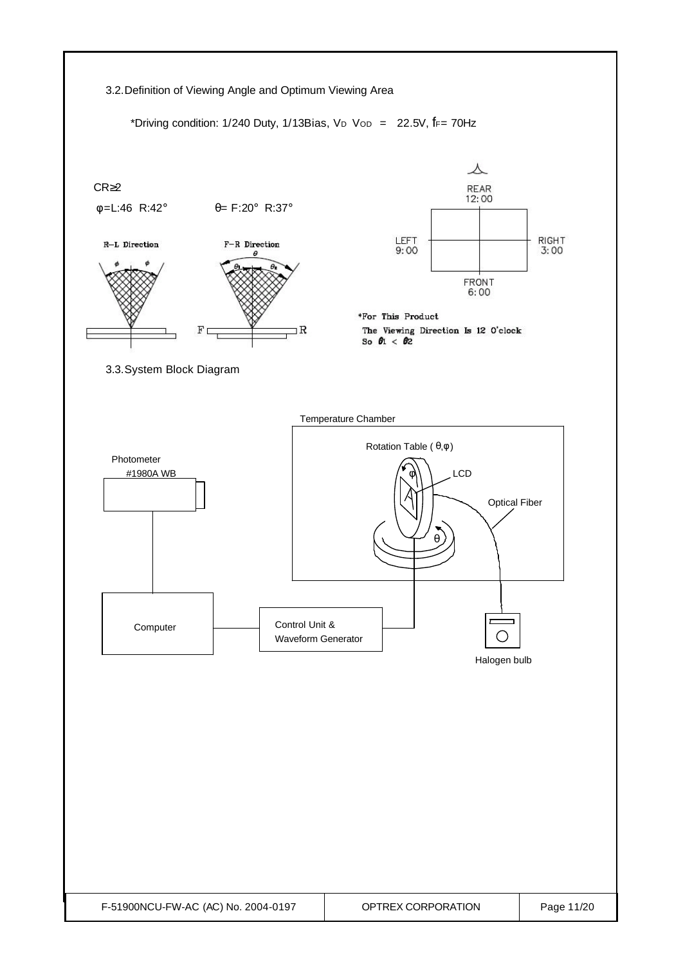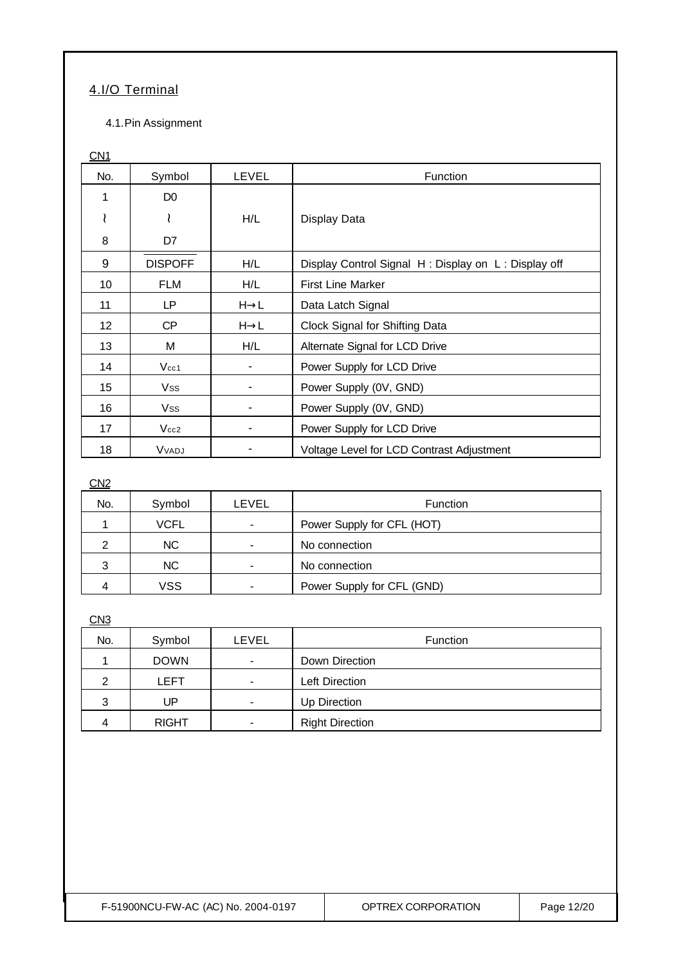### 4.I/O Terminal

### 4.1.Pin Assignment

### C<sub>N1</sub>

| No.               | Symbol         | LEVEL            | Function                                            |
|-------------------|----------------|------------------|-----------------------------------------------------|
| 1                 | D <sub>0</sub> |                  |                                                     |
|                   | ≀              | H/L              | Display Data                                        |
| 8                 | D7             |                  |                                                     |
| 9                 | <b>DISPOFF</b> | H/L              | Display Control Signal H: Display on L: Display off |
| 10                | FLM            | H/L              | <b>First Line Marker</b>                            |
| 11                | LP             | $H\rightarrow L$ | Data Latch Signal                                   |
| $12 \overline{ }$ | <b>CP</b>      | $H\rightarrow L$ | Clock Signal for Shifting Data                      |
| 13                | M              | H/L              | Alternate Signal for LCD Drive                      |
| 14                | $V_{cc1}$      |                  | Power Supply for LCD Drive                          |
| 15                | Vss            |                  | Power Supply (0V, GND)                              |
| 16                | Vss            |                  | Power Supply (0V, GND)                              |
| 17                | Vcc2           |                  | Power Supply for LCD Drive                          |
| 18                | Vvadj          |                  | Voltage Level for LCD Contrast Adjustment           |

### C<sub>N2</sub>

| No. | Symbol    | LEVEL                                        | <b>Function</b>            |
|-----|-----------|----------------------------------------------|----------------------------|
|     | VCFL      | Power Supply for CFL (HOT)<br>$\blacksquare$ |                            |
|     | <b>NC</b> | ٠                                            | No connection              |
| 3   | <b>NC</b> | $\overline{\phantom{0}}$                     | No connection              |
|     | VSS       | $\blacksquare$                               | Power Supply for CFL (GND) |

### C<sub>N</sub>3

| No. | Symbol       | LEVEL                    | Function               |
|-----|--------------|--------------------------|------------------------|
|     | <b>DOWN</b>  | $\blacksquare$           | Down Direction         |
| າ   | LEFT         | $\overline{\phantom{0}}$ | Left Direction         |
| 3   | UP           | $\blacksquare$           | Up Direction           |
| 4   | <b>RIGHT</b> | $\overline{\phantom{a}}$ | <b>Right Direction</b> |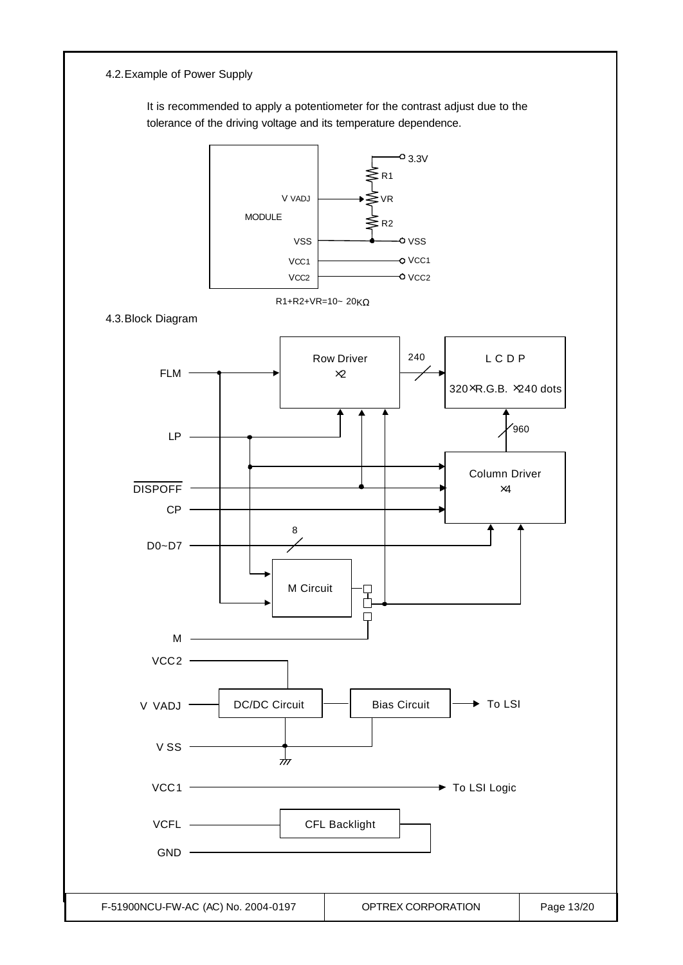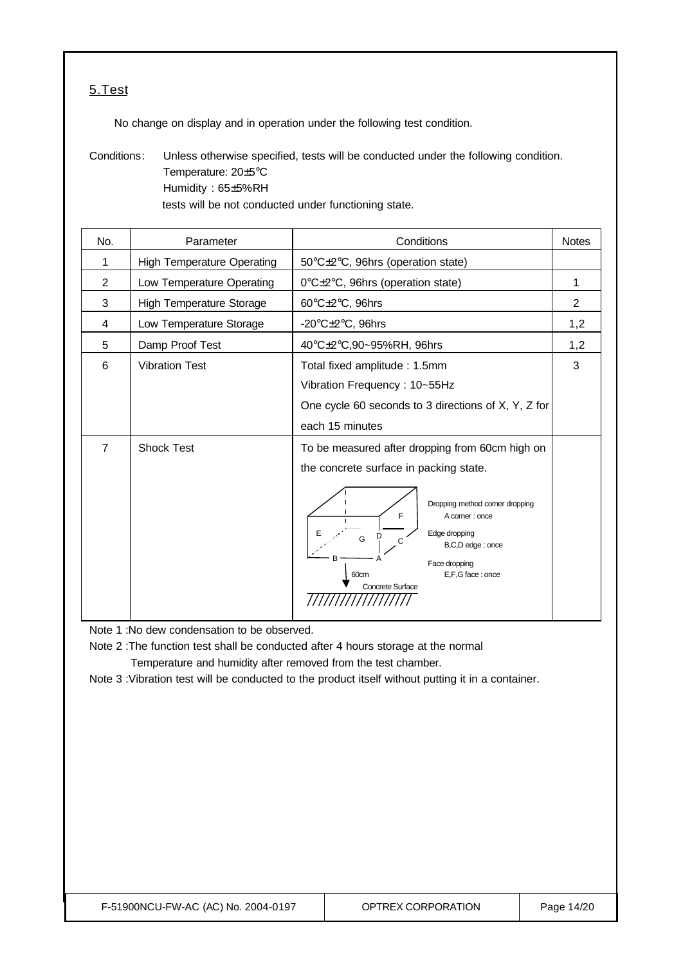### 5.Test

No change on display and in operation under the following test condition.

Conditions: Unless otherwise specified, tests will be conducted under the following condition. Temperature: 20±5°C Humidity : 65±5%RH tests will be not conducted under functioning state.

| No.            | Parameter                         | Conditions                                                                                                                                                                                                                                                                                 | <b>Notes</b> |  |
|----------------|-----------------------------------|--------------------------------------------------------------------------------------------------------------------------------------------------------------------------------------------------------------------------------------------------------------------------------------------|--------------|--|
| 1              | <b>High Temperature Operating</b> | 50°C±2°C, 96hrs (operation state)                                                                                                                                                                                                                                                          |              |  |
| $\overline{2}$ | Low Temperature Operating         | 0°C±2°C, 96hrs (operation state)                                                                                                                                                                                                                                                           | 1            |  |
| 3              | <b>High Temperature Storage</b>   | 60°C±2°C, 96hrs                                                                                                                                                                                                                                                                            | 2            |  |
| 4              | Low Temperature Storage           | -20 $\textdegree$ C $\pm$ 2 $\textdegree$ C, 96hrs                                                                                                                                                                                                                                         | 1,2          |  |
| 5              | Damp Proof Test                   | 40°C±2°C,90~95%RH, 96hrs                                                                                                                                                                                                                                                                   | 1,2          |  |
| 6              | <b>Vibration Test</b>             | Total fixed amplitude: 1.5mm<br>Vibration Frequency: 10~55Hz<br>One cycle 60 seconds to 3 directions of X, Y, Z for<br>each 15 minutes                                                                                                                                                     |              |  |
| $\overline{7}$ | <b>Shock Test</b>                 | To be measured after dropping from 60cm high on<br>the concrete surface in packing state.<br>Dropping method corner dropping<br>F<br>A corner : once<br>Edge dropping<br>Е<br>D<br>G<br>C<br>B,C,D edge: once<br>R<br>Face dropping<br>E,F,G face: once<br>60cm<br><b>Concrete Surface</b> |              |  |

Note 1 :No dew condensation to be observed.

Note 2 :The function test shall be conducted after 4 hours storage at the normal Temperature and humidity after removed from the test chamber.

Note 3 :Vibration test will be conducted to the product itself without putting it in a container.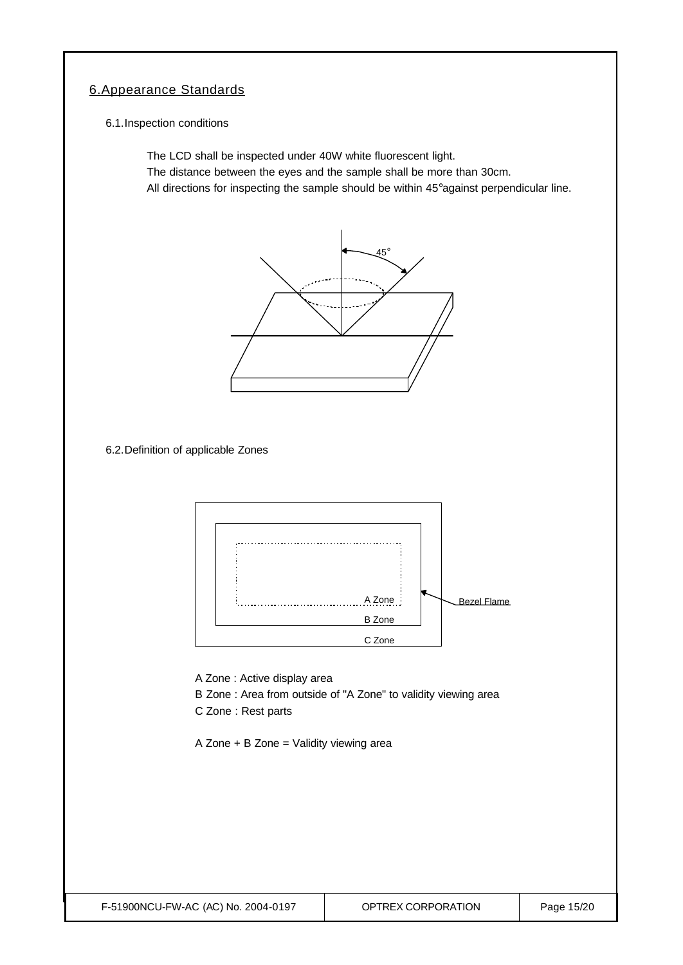### 6.Appearance Standards

6.1.Inspection conditions

The LCD shall be inspected under 40W white fluorescent light. The distance between the eyes and the sample shall be more than 30cm. All directions for inspecting the sample should be within 45°against perpendicular line.



6.2.Definition of applicable Zones



A Zone : Active display area

- B Zone : Area from outside of "A Zone" to validity viewing area
- C Zone : Rest parts

A Zone + B Zone = Validity viewing area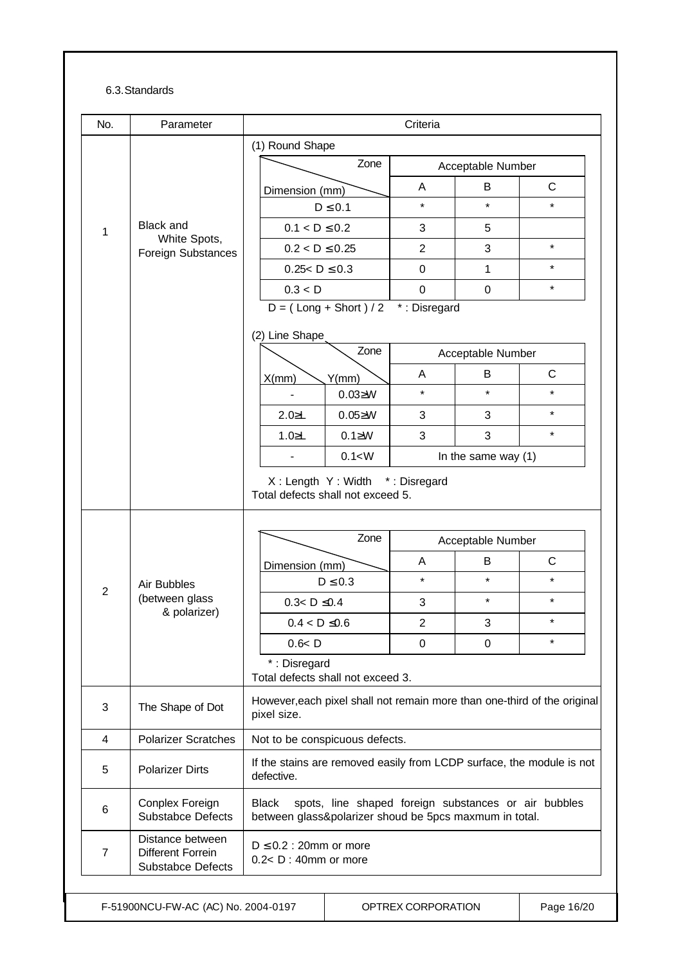#### 6.3.Standards

| No.            | Parameter                                                         | Criteria                                                                                                                       |                                 |                    |                       |              |  |
|----------------|-------------------------------------------------------------------|--------------------------------------------------------------------------------------------------------------------------------|---------------------------------|--------------------|-----------------------|--------------|--|
|                |                                                                   | (1) Round Shape                                                                                                                |                                 |                    |                       |              |  |
| 1              |                                                                   | Zone                                                                                                                           |                                 | Acceptable Number  |                       |              |  |
|                | <b>Black and</b><br>White Spots,<br><b>Foreign Substances</b>     | Dimension (mm)                                                                                                                 |                                 | A                  | В                     | C            |  |
|                |                                                                   | $D \leq 0.1$                                                                                                                   |                                 | $\star$            | $\star$               | $\star$      |  |
|                |                                                                   | $0.1 < D \le 0.2$                                                                                                              |                                 | 3                  | 5                     |              |  |
|                |                                                                   | $0.2 < D \le 0.25$                                                                                                             |                                 | 2                  | 3                     | $\star$      |  |
|                |                                                                   | $0.25 < D \le 0.3$                                                                                                             |                                 | $\pmb{0}$          | $\mathbf{1}$          | $\star$      |  |
|                |                                                                   | 0.3 < D                                                                                                                        |                                 | 0                  | $\pmb{0}$             | $\star$      |  |
|                |                                                                   | $D = (Long + Short) / 2$                                                                                                       |                                 | *: Disregard       |                       |              |  |
|                |                                                                   | (2) Line Shape                                                                                                                 |                                 |                    |                       |              |  |
|                |                                                                   |                                                                                                                                | Zone                            | Acceptable Number  |                       |              |  |
|                |                                                                   | X(mm)                                                                                                                          | Y(mm)                           | A                  | B                     | $\mathsf{C}$ |  |
|                |                                                                   |                                                                                                                                | $0.03 \geq W$                   | $\star$            | $\star$               | $\star$      |  |
|                |                                                                   | $2.0 \ge L$                                                                                                                    | $0.05 \ge W$                    | 3                  | 3                     | $\star$      |  |
|                |                                                                   | $1.0 \ge L$                                                                                                                    | $0.1 \geq W$                    | 3                  | 3                     | $\star$      |  |
|                |                                                                   |                                                                                                                                | 0.1 < W                         |                    | In the same way $(1)$ |              |  |
|                |                                                                   | Total defects shall not exceed 5.                                                                                              | X: Length Y: Width *: Disregard |                    |                       |              |  |
|                | Air Bubbles<br>(between glass<br>& polarizer)                     | Zone<br>Dimension (mm)                                                                                                         |                                 | Acceptable Number  |                       |              |  |
|                |                                                                   |                                                                                                                                |                                 | A                  | В                     | $\mathsf{C}$ |  |
|                |                                                                   | $D \leq 0.3$                                                                                                                   |                                 | $\star$            | $\star$               | $\star$      |  |
| $\overline{2}$ |                                                                   | $0.3 < D \le 0.4$                                                                                                              |                                 | 3                  | $\star$               | $\star$      |  |
|                |                                                                   | $0.4 < D \le 0.6$                                                                                                              |                                 | $\overline{c}$     | 3                     | $\star$      |  |
|                |                                                                   | 0.6 < D                                                                                                                        |                                 | 0                  | 0                     | $\star$      |  |
|                |                                                                   | *: Disregard<br>Total defects shall not exceed 3.                                                                              |                                 |                    |                       |              |  |
| 3              | The Shape of Dot                                                  | However, each pixel shall not remain more than one-third of the original<br>pixel size.                                        |                                 |                    |                       |              |  |
| $\overline{4}$ | <b>Polarizer Scratches</b>                                        | Not to be conspicuous defects.                                                                                                 |                                 |                    |                       |              |  |
| 5              | <b>Polarizer Dirts</b>                                            | If the stains are removed easily from LCDP surface, the module is not<br>defective.                                            |                                 |                    |                       |              |  |
| 6              | Conplex Foreign<br><b>Substabce Defects</b>                       | spots, line shaped foreign substances or air bubbles<br><b>Black</b><br>between glass&polarizer shoud be 5pcs maxmum in total. |                                 |                    |                       |              |  |
| 7              | Distance between<br>Different Forrein<br><b>Substabce Defects</b> | $D \leq 0.2$ : 20mm or more<br>$0.2 < D$ : 40mm or more                                                                        |                                 |                    |                       |              |  |
|                | F-51900NCU-FW-AC (AC) No. 2004-0197                               |                                                                                                                                |                                 | OPTREX CORPORATION |                       | Page 16/20   |  |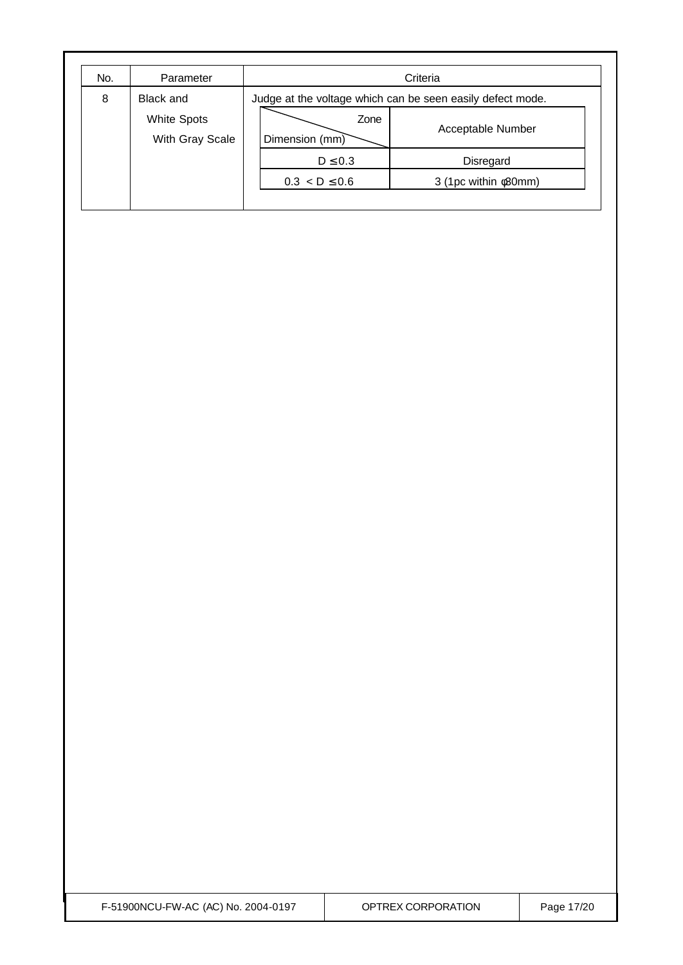| No. | Parameter                             | Criteria                                                   |                            |  |  |
|-----|---------------------------------------|------------------------------------------------------------|----------------------------|--|--|
| 8   | Black and                             | Judge at the voltage which can be seen easily defect mode. |                            |  |  |
|     | <b>White Spots</b><br>With Gray Scale | Zone<br>Dimension (mm)                                     | Acceptable Number          |  |  |
|     |                                       | $D \leq 0.3$                                               | Disregard                  |  |  |
|     |                                       | $0.3 < D \leq 0.6$                                         | 3 (1pc within $\phi$ 30mm) |  |  |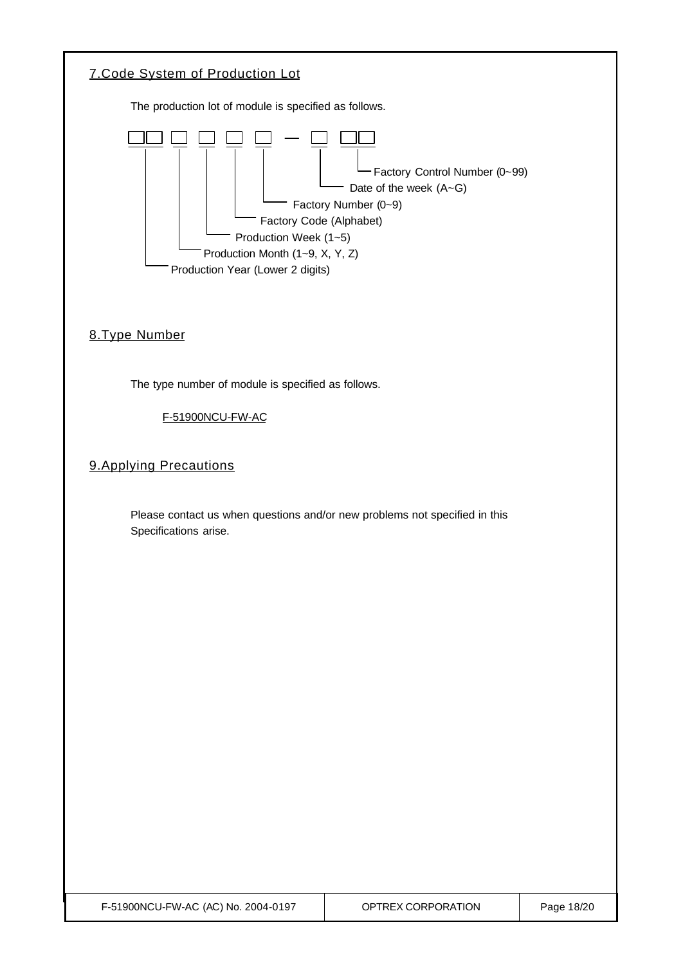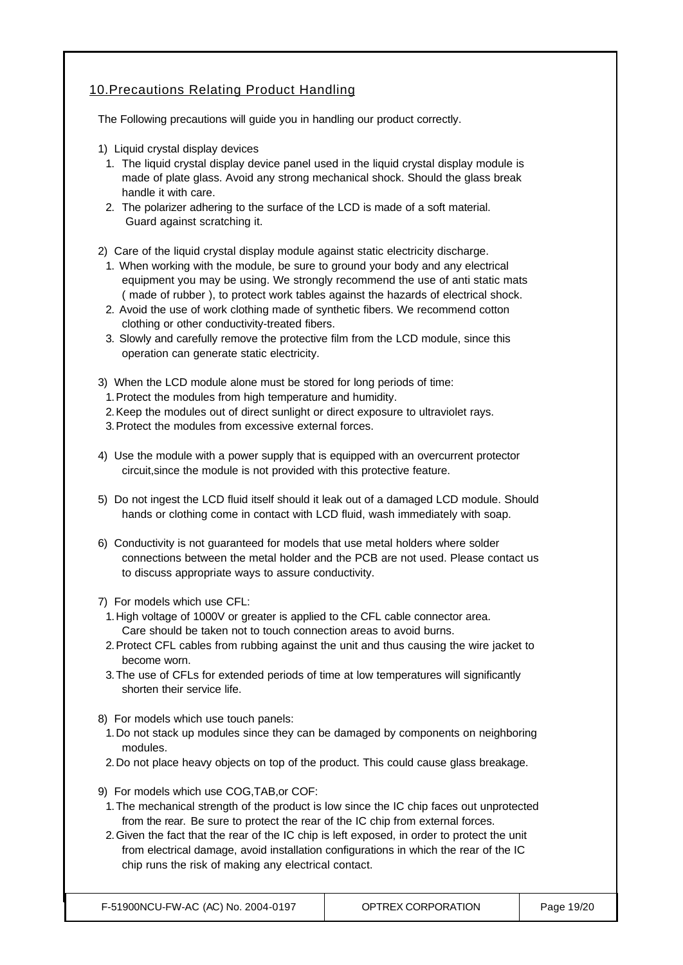### 10.Precautions Relating Product Handling

The Following precautions will guide you in handling our product correctly.

- 1) Liquid crystal display devices
	- 1. The liquid crystal display device panel used in the liquid crystal display module is made of plate glass. Avoid any strong mechanical shock. Should the glass break handle it with care.
	- 2. The polarizer adhering to the surface of the LCD is made of a soft material. Guard against scratching it.

2) Care of the liquid crystal display module against static electricity discharge.

- 1. When working with the module, be sure to ground your body and any electrical equipment you may be using. We strongly recommend the use of anti static mats ( made of rubber ), to protect work tables against the hazards of electrical shock.
- 2. Avoid the use of work clothing made of synthetic fibers. We recommend cotton clothing or other conductivity-treated fibers.
- 3. Slowly and carefully remove the protective film from the LCD module, since this operation can generate static electricity.
- 3) When the LCD module alone must be stored for long periods of time:
- 1.Protect the modules from high temperature and humidity.
- 2.Keep the modules out of direct sunlight or direct exposure to ultraviolet rays.
- 3.Protect the modules from excessive external forces.
- 4) Use the module with a power supply that is equipped with an overcurrent protector circuit,since the module is not provided with this protective feature.
- 5) Do not ingest the LCD fluid itself should it leak out of a damaged LCD module. Should hands or clothing come in contact with LCD fluid, wash immediately with soap.
- 6) Conductivity is not guaranteed for models that use metal holders where solder connections between the metal holder and the PCB are not used. Please contact us to discuss appropriate ways to assure conductivity.
- 7) For models which use CFL:
- 1.High voltage of 1000V or greater is applied to the CFL cable connector area. Care should be taken not to touch connection areas to avoid burns.
- 2.Protect CFL cables from rubbing against the unit and thus causing the wire jacket to become worn.
- 3.The use of CFLs for extended periods of time at low temperatures will significantly shorten their service life.
- 8) For models which use touch panels:
	- 1.Do not stack up modules since they can be damaged by components on neighboring modules.
	- 2.Do not place heavy objects on top of the product. This could cause glass breakage.
- 9) For models which use COG,TAB,or COF:
	- 1.The mechanical strength of the product is low since the IC chip faces out unprotected from the rear. Be sure to protect the rear of the IC chip from external forces.
	- 2.Given the fact that the rear of the IC chip is left exposed, in order to protect the unit from electrical damage, avoid installation configurations in which the rear of the IC chip runs the risk of making any electrical contact.